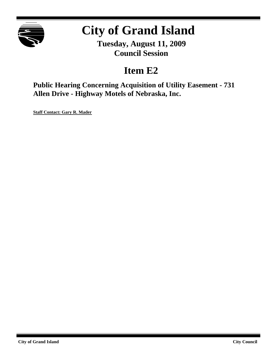

# **City of Grand Island**

**Tuesday, August 11, 2009 Council Session**

# **Item E2**

**Public Hearing Concerning Acquisition of Utility Easement - 731 Allen Drive - Highway Motels of Nebraska, Inc.**

**Staff Contact: Gary R. Mader**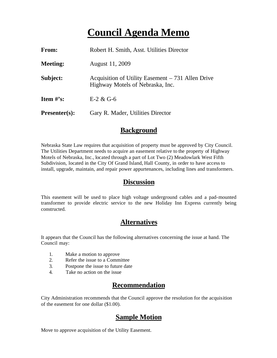# **Council Agenda Memo**

| <b>From:</b>    | Robert H. Smith, Asst. Utilities Director                                              |
|-----------------|----------------------------------------------------------------------------------------|
| Meeting:        | August 11, 2009                                                                        |
| Subject:        | Acquisition of Utility Easement $-731$ Allen Drive<br>Highway Motels of Nebraska, Inc. |
| Item $\#$ 's:   | $E-2 & G-6$                                                                            |
| $Presenter(s):$ | Gary R. Mader, Utilities Director                                                      |

#### **Background**

Nebraska State Law requires that acquisition of property must be approved by City Council. The Utilities Department needs to acquire an easement relative to the property of Highway Motels of Nebraska, Inc., located through a part of Lot Two (2) Meadowlark West Fifth Subdivision, located in the City Of Grand Island, Hall County, in order to have access to install, upgrade, maintain, and repair power appurtenances, including lines and transformers.

#### **Discussion**

This easement will be used to place high voltage underground cables and a pad-mounted transformer to provide electric service to the new Holiday Inn Express currently being constructed.

## **Alternatives**

It appears that the Council has the following alternatives concerning the issue at hand. The Council may:

- 1. Make a motion to approve
- 2. Refer the issue to a Committee
- 3. Postpone the issue to future date
- 4. Take no action on the issue

### **Recommendation**

City Administration recommends that the Council approve the resolution for the acquisition of the easement for one dollar (\$1.00).

### **Sample Motion**

Move to approve acquisition of the Utility Easement.